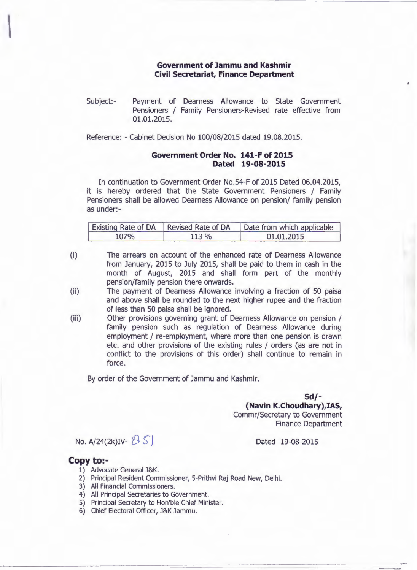## **Government of Jammu and Kashmir Civil Secretariat, Finance Department**

Subject:- Payment of Dearness Allowance to State Government Pensioners / Family Pensioners-Revised rate effective from 01.01.2015.

Reference: - Cabinet Decision No 100/08/2015 dated 19.08.2015.

## **Government Order No. 141-F of 2015 Dated 19-08-2015**

In continuation to Government Order NO.54-F of 2015 Dated 06.04.2015, it is hereby ordered that the State Government Pensioners / Family Pensioners shall be allowed Dearness Allowance on pension/ family pension as under:-

| Existing Rate of DA   Revised Rate of DA |      | Date from which applicable |
|------------------------------------------|------|----------------------------|
| 107%                                     | 113% | 01.01.2015                 |

(i) The arrears on account of the enhanced rate of Dearness Allowance from January, 2015 to July 2015, shall be paid to them in cash in the month of August, 2015 and shall form part of the monthly pension/family pension there onwards.

(ii) The payment of Dearness Allowance involving a fraction of 50 paisa and above shall be rounded to the next higher rupee and the fraction of less than 50 paisa shall be ignored.

(iii) Other provisions governing grant of Dearness Allowance on pension / family pension such as regulation of Dearness Allowance during employment / re-employment, where more than one pension is drawn etc. and other provisions of the existing rules / orders (as are not in conflict to the provisions of this order) shall continue to remain in force.

By order of the Government of Jammu and Kashmir.

**Sd/-**

## **(Navin K.Choudhary),IAS,** Commr/Secretary to Government

Finance Department

Dated 19-08-2015

No. A/24(2k)IV-  $851$ 

## **Copy to:-**

- 1) Advocate General J&K.
- 2) Principal Resident Commissioner, 5-Prithvi Raj Road New, Delhi.
- 3) All Financial Commissioners.
- 4) All Principal Secretaries to Government.
- S) Principal Secretary to Hon'ble Chief Minister.
- 6) Chief Electoral Officer, J&K Jammu.